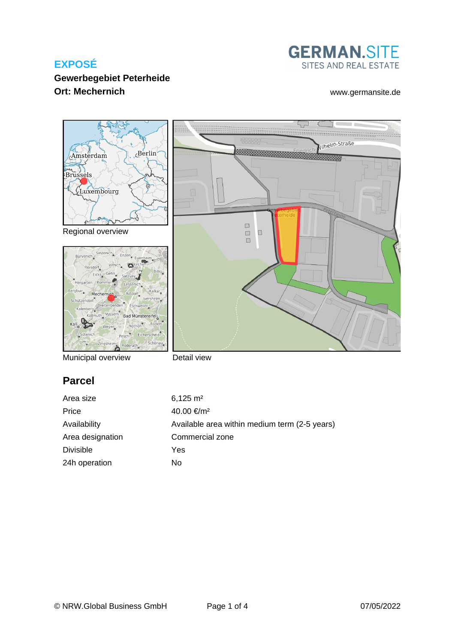# **GERMAN.SITE** SITES AND REAL ESTATE

## **Gewerbegebiet Peterheide Ort: Mechernich** [www.germansite.de](http://www.germansite.de)



Municipal overview

Detail view

# **Parcel**

| Area size        | $6,125 \text{ m}^2$                           |
|------------------|-----------------------------------------------|
| Price            | 40.00 €/m <sup>2</sup>                        |
| Availability     | Available area within medium term (2-5 years) |
| Area designation | Commercial zone                               |
| Divisible        | Yes                                           |
| 24h operation    | No                                            |
|                  |                                               |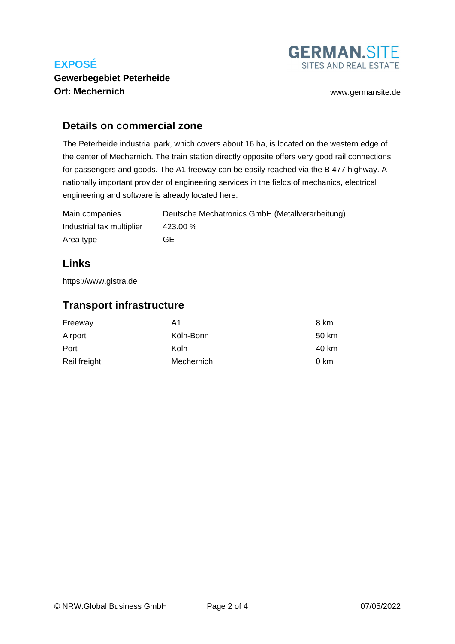

## **Gewerbegebiet Peterheide Ort: Mechernich** [www.germansite.de](http://www.germansite.de)

#### **Details on commercial zone**

The Peterheide industrial park, which covers about 16 ha, is located on the western edge of the center of Mechernich. The train station directly opposite offers very good rail connections for passengers and goods. The A1 freeway can be easily reached via the B 477 highway. A nationally important provider of engineering services in the fields of mechanics, electrical engineering and software is already located here.

| Main companies            | Deutsche Mechatronics GmbH (Metallverarbeitung) |
|---------------------------|-------------------------------------------------|
| Industrial tax multiplier | 423.00 %                                        |
| Area type                 | GF.                                             |

# **Links**

<https://www.gistra.de>

# **Transport infrastructure**

| Freeway      | A1         | 8 km  |
|--------------|------------|-------|
| Airport      | Köln-Bonn  | 50 km |
| Port         | Köln       | 40 km |
| Rail freight | Mechernich | 0 km  |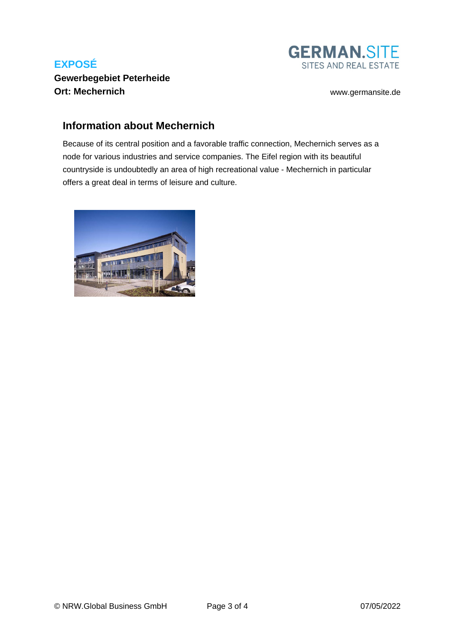

#### **Gewerbegebiet Peterheide Ort: Mechernich** [www.germansite.de](http://www.germansite.de)

## **Information about Mechernich**

Because of its central position and a favorable traffic connection, Mechernich serves as a node for various industries and service companies. The Eifel region with its beautiful countryside is undoubtedly an area of high recreational value - Mechernich in particular offers a great deal in terms of leisure and culture.